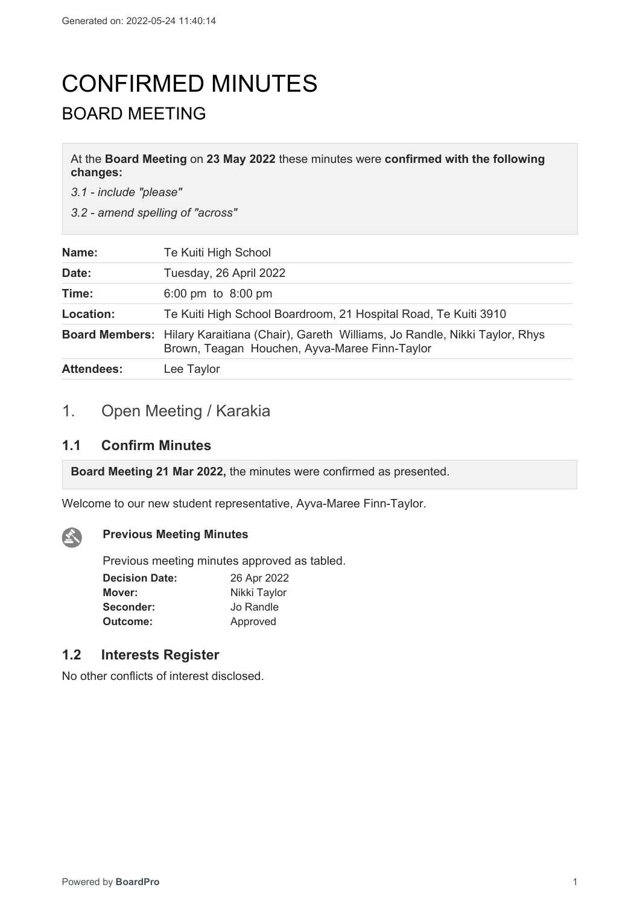# CONFIRMED MINUTES BOARD MEETING

At the **Board Meeting** on **23 May 2022** these minutes were **confirmed with the following changes:**

*3.1 - include "please"*

*3.2 - amend spelling of "across"*

| Name:             | Te Kuiti High School                                                                                                                             |
|-------------------|--------------------------------------------------------------------------------------------------------------------------------------------------|
| Date:             | Tuesday, 26 April 2022                                                                                                                           |
| Time:             | 6:00 pm to $8:00$ pm                                                                                                                             |
| Location:         | Te Kuiti High School Boardroom, 21 Hospital Road, Te Kuiti 3910                                                                                  |
|                   | <b>Board Members:</b> Hilary Karaitiana (Chair), Gareth Williams, Jo Randle, Nikki Taylor, Rhys<br>Brown, Teagan Houchen, Ayva-Maree Finn-Taylor |
| <b>Attendees:</b> | Lee Taylor                                                                                                                                       |

# 1. Open Meeting / Karakia

### **1.1 Confirm Minutes**

 $\mathbf{A}$ 

**Board Meeting 21 Mar 2022,** the minutes were confirmed as presented.

Welcome to our new student representative, Ayva-Maree Finn-Taylor.

### **Previous Meeting Minutes**

Previous meeting minutes approved as tabled.

| <b>Decision Date:</b> | 26 Apr 2022  |  |
|-----------------------|--------------|--|
| Mover:                | Nikki Taylor |  |
| Seconder:             | Jo Randle    |  |
| Outcome:              | Approved     |  |

# **1.2 Interests Register**

No other conflicts of interest disclosed.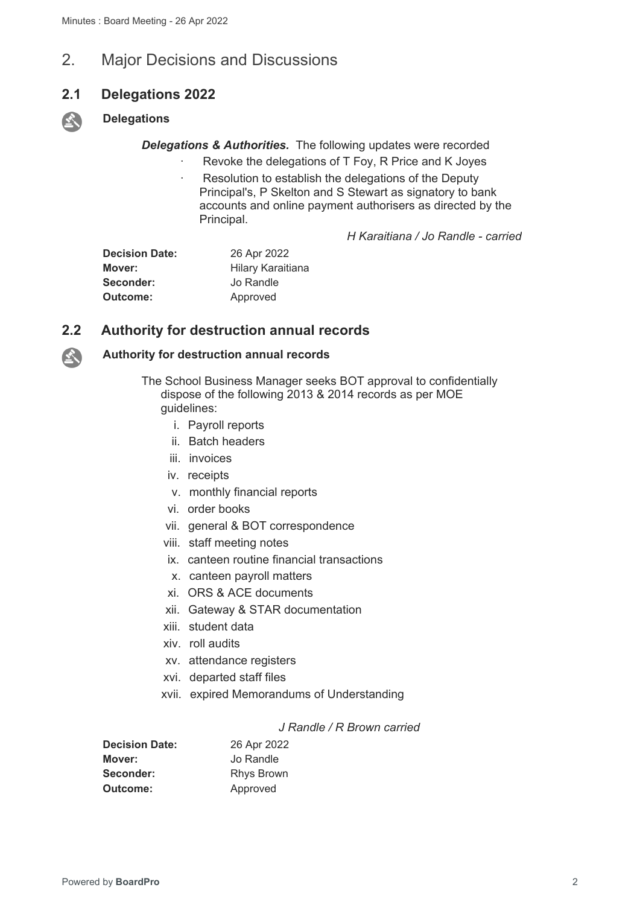# 2. Major Decisions and Discussions

### **2.1 Delegations 2022**

### **Delegations**

*Delegations & Authorities.* The following updates were recorded

- Revoke the delegations of T Foy, R Price and K Joyes
- Resolution to establish the delegations of the Deputy Principal's, P Skelton and S Stewart as signatory to bank accounts and online payment authorisers as directed by the Principal.

*H Karaitiana / Jo Randle - carried*

| <b>Decision Date:</b> | 26 Apr 2022       |
|-----------------------|-------------------|
| Mover:                | Hilary Karaitiana |
| Seconder:             | Jo Randle         |
| Outcome:              | Approved          |

# **2.2 Authority for destruction annual records**



**SET** 

### **Authority for destruction annual records**

The School Business Manager seeks BOT approval to confidentially dispose of the following 2013 & 2014 records as per MOE guidelines:

- i. Payroll reports
- ii. Batch headers
- iii. invoices
- iv. receipts
- v. monthly financial reports
- vi. order books
- vii. general & BOT correspondence
- viii. staff meeting notes
- ix. canteen routine financial transactions
- x. canteen payroll matters
- xi. ORS & ACE documents
- xii. Gateway & STAR documentation
- xiii. student data
- xiv. roll audits
- xv. attendance registers
- xvi. departed staff files
- xvii. expired Memorandums of Understanding

#### *J Randle / R Brown carried*

| <b>Decision Date:</b> | 26 Apr 2022       |
|-----------------------|-------------------|
| Mover:                | Jo Randle         |
| Seconder:             | <b>Rhys Brown</b> |
| Outcome:              | Approved          |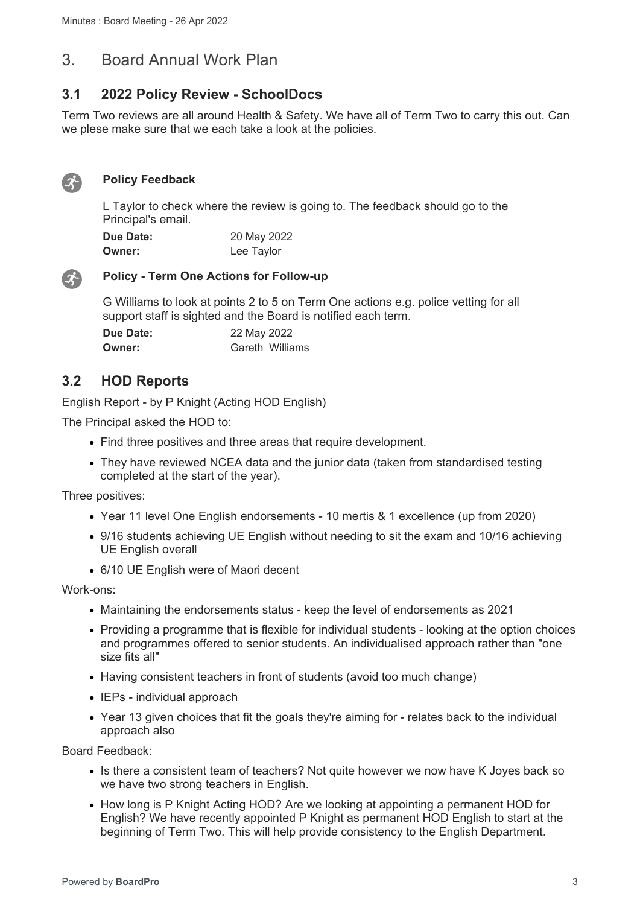# 3. Board Annual Work Plan

# **3.1 2022 Policy Review - SchoolDocs**

Term Two reviews are all around Health & Safety. We have all of Term Two to carry this out. Can we plese make sure that we each take a look at the policies.



### **Policy Feedback**

L Taylor to check where the review is going to. The feedback should go to the Principal's email.

| <b>Due Date:</b> | 20 May 2022 |
|------------------|-------------|
| <b>Owner:</b>    | Lee Taylor  |



### **Policy - Term One Actions for Follow-up**

G Williams to look at points 2 to 5 on Term One actions e.g. police vetting for all support staff is sighted and the Board is notified each term.

| Due Date: | 22 May 2022 |                 |
|-----------|-------------|-----------------|
| Owner:    |             | Gareth Williams |

# **3.2 HOD Reports**

English Report - by P Knight (Acting HOD English)

The Principal asked the HOD to:

- Find three positives and three areas that require development.
- They have reviewed NCEA data and the junior data (taken from standardised testing completed at the start of the year).

Three positives:

- Year 11 level One English endorsements 10 mertis & 1 excellence (up from 2020)
- 9/16 students achieving UE English without needing to sit the exam and 10/16 achieving UE English overall
- 6/10 UE English were of Maori decent

Work-ons:

- Maintaining the endorsements status keep the level of endorsements as 2021
- Providing a programme that is flexible for individual students looking at the option choices and programmes offered to senior students. An individualised approach rather than "one size fits all"
- Having consistent teachers in front of students (avoid too much change)
- $\bullet$  IEPs individual approach
- Year 13 given choices that fit the goals they're aiming for relates back to the individual approach also

Board Feedback:

- Is there a consistent team of teachers? Not quite however we now have K Joyes back so we have two strong teachers in English.
- How long is P Knight Acting HOD? Are we looking at appointing a permanent HOD for English? We have recently appointed P Knight as permanent HOD English to start at the beginning of Term Two. This will help provide consistency to the English Department.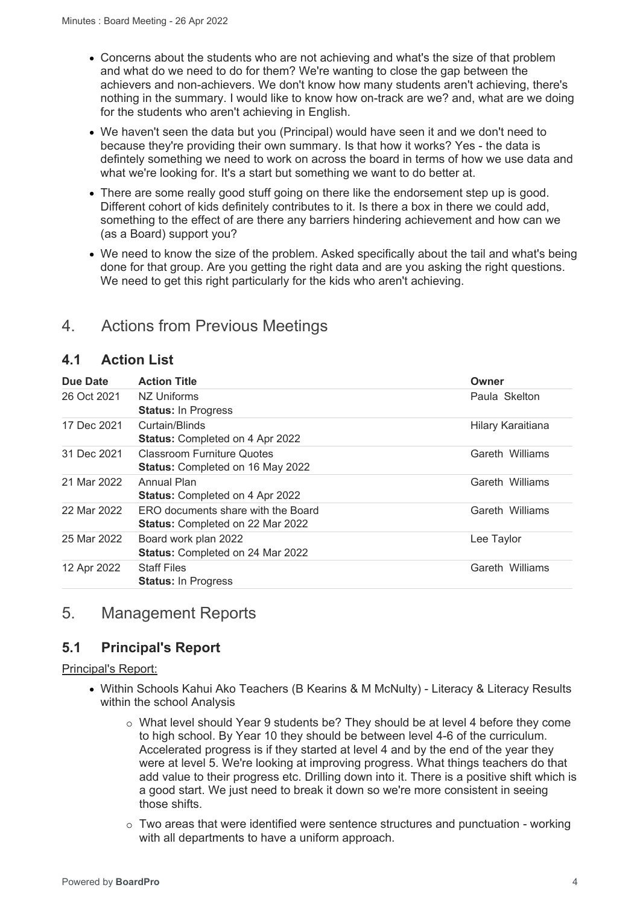- Concerns about the students who are not achieving and what's the size of that problem and what do we need to do for them? We're wanting to close the gap between the achievers and non-achievers. We don't know how many students aren't achieving, there's nothing in the summary. I would like to know how on-track are we? and, what are we doing for the students who aren't achieving in English.
- We haven't seen the data but you (Principal) would have seen it and we don't need to because they're providing their own summary. Is that how it works? Yes - the data is defintely something we need to work on across the board in terms of how we use data and what we're looking for. It's a start but something we want to do better at.
- There are some really good stuff going on there like the endorsement step up is good. Different cohort of kids definitely contributes to it. Is there a box in there we could add, something to the effect of are there any barriers hindering achievement and how can we (as a Board) support you?
- We need to know the size of the problem. Asked specifically about the tail and what's being done for that group. Are you getting the right data and are you asking the right questions. We need to get this right particularly for the kids who aren't achieving.

# 4. Actions from Previous Meetings

# **4.1 Action List**

| Due Date    | <b>Action Title</b>                                                           | Owner             |
|-------------|-------------------------------------------------------------------------------|-------------------|
| 26 Oct 2021 | NZ Uniforms<br><b>Status: In Progress</b>                                     | Paula Skelton     |
| 17 Dec 2021 | Curtain/Blinds<br><b>Status: Completed on 4 Apr 2022</b>                      | Hilary Karaitiana |
| 31 Dec 2021 | <b>Classroom Furniture Quotes</b><br><b>Status: Completed on 16 May 2022</b>  | Gareth Williams   |
| 21 Mar 2022 | Annual Plan<br><b>Status: Completed on 4 Apr 2022</b>                         | Gareth Williams   |
| 22 Mar 2022 | ERO documents share with the Board<br><b>Status: Completed on 22 Mar 2022</b> | Gareth Williams   |
| 25 Mar 2022 | Board work plan 2022<br>Status: Completed on 24 Mar 2022                      | Lee Taylor        |
| 12 Apr 2022 | <b>Staff Files</b><br><b>Status: In Progress</b>                              | Gareth Williams   |

# 5. Management Reports

# **5.1 Principal's Report**

### Principal's Report:

- Within Schools Kahui Ako Teachers (B Kearins & M McNulty) Literacy & Literacy Results within the school Analysis
	- o What level should Year 9 students be? They should be at level 4 before they come to high school. By Year 10 they should be between level 4-6 of the curriculum. Accelerated progress is if they started at level 4 and by the end of the year they were at level 5. We're looking at improving progress. What things teachers do that add value to their progress etc. Drilling down into it. There is a positive shift which is a good start. We just need to break it down so we're more consistent in seeing those shifts.
	- $\circ$  Two areas that were identified were sentence structures and punctuation working with all departments to have a uniform approach.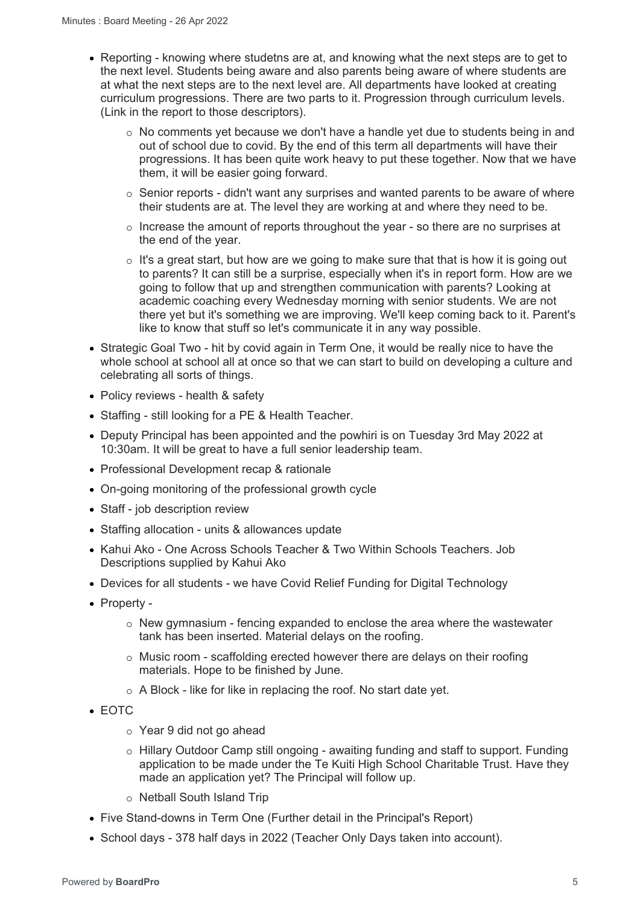- Reporting knowing where studetns are at, and knowing what the next steps are to get to the next level. Students being aware and also parents being aware of where students are at what the next steps are to the next level are. All departments have looked at creating curriculum progressions. There are two parts to it. Progression through curriculum levels. (Link in the report to those descriptors).
	- $\circ$  No comments yet because we don't have a handle yet due to students being in and out of school due to covid. By the end of this term all departments will have their progressions. It has been quite work heavy to put these together. Now that we have them, it will be easier going forward.
	- $\circ$  Senior reports didn't want any surprises and wanted parents to be aware of where their students are at. The level they are working at and where they need to be.
	- $\circ$  Increase the amount of reports throughout the year so there are no surprises at the end of the year.
	- o It's a great start, but how are we going to make sure that that is how it is going out to parents? It can still be a surprise, especially when it's in report form. How are we going to follow that up and strengthen communication with parents? Looking at academic coaching every Wednesday morning with senior students. We are not there yet but it's something we are improving. We'll keep coming back to it. Parent's like to know that stuff so let's communicate it in any way possible.
- Strategic Goal Two hit by covid again in Term One, it would be really nice to have the whole school at school all at once so that we can start to build on developing a culture and celebrating all sorts of things.
- Policy reviews health & safety
- Staffing still looking for a PE & Health Teacher.
- Deputy Principal has been appointed and the powhiri is on Tuesday 3rd May 2022 at 10:30am. It will be great to have a full senior leadership team.
- Professional Development recap & rationale
- On-going monitoring of the professional growth cycle
- Staff job description review
- Staffing allocation units & allowances update
- Kahui Ako One Across Schools Teacher & Two Within Schools Teachers. Job Descriptions supplied by Kahui Ako
- Devices for all students we have Covid Relief Funding for Digital Technology
- Property -
	- $\circ$  New gymnasium fencing expanded to enclose the area where the wastewater tank has been inserted. Material delays on the roofing.
	- $\circ$  Music room scaffolding erected however there are delays on their roofing materials. Hope to be finished by June.
	- o A Block like for like in replacing the roof. No start date yet.
- EOTC
	- o Year 9 did not go ahead
	- o Hillary Outdoor Camp still ongoing awaiting funding and staff to support. Funding application to be made under the Te Kuiti High School Charitable Trust. Have they made an application yet? The Principal will follow up.
	- o Netball South Island Trip
- Five Stand-downs in Term One (Further detail in the Principal's Report)
- School days 378 half days in 2022 (Teacher Only Days taken into account).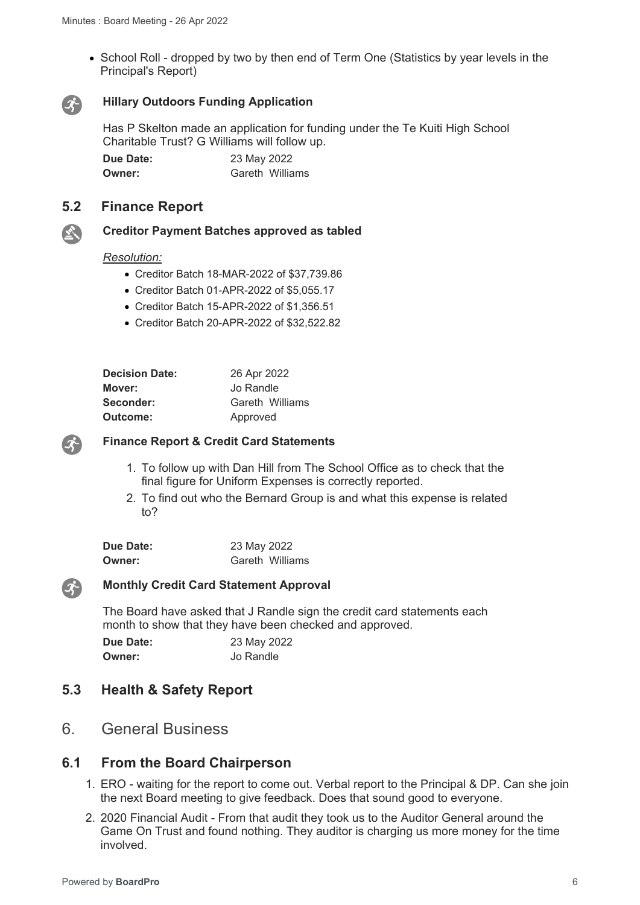• School Roll - dropped by two by then end of Term One (Statistics by year levels in the Principal's Report)



### **Hillary Outdoors Funding Application**

Has P Skelton made an application for funding under the Te Kuiti High School Charitable Trust? G Williams will follow up.

**Due Date:** 23 May 2022 **Owner: Gareth Williams** 

### **5.2 Finance Report**

# 公

### **Creditor Payment Batches approved as tabled**

#### *Resolution:*

- Creditor Batch 18-MAR-2022 of \$37,739.86
- Creditor Batch 01-APR-2022 of \$5,055.17
- Creditor Batch 15-APR-2022 of \$1,356.51
- Creditor Batch 20-APR-2022 of \$32,522.82

| <b>Decision Date:</b> | 26 Apr 2022     |
|-----------------------|-----------------|
| Mover:                | Jo Randle       |
| Seconder:             | Gareth Williams |
| Outcome:              | Approved        |



### **Finance Report & Credit Card Statements**

- 1. To follow up with Dan Hill from The School Office as to check that the final figure for Uniform Expenses is correctly reported.
- 2. To find out who the Bernard Group is and what this expense is related to?

| Due Date: | 23 May 2022 |                 |
|-----------|-------------|-----------------|
| Owner:    |             | Gareth Williams |



#### **Monthly Credit Card Statement Approval**

The Board have asked that J Randle sign the credit card statements each month to show that they have been checked and approved.

| Due Date: | 23 May 2022 |
|-----------|-------------|
| Owner:    | Jo Randle   |

### **5.3 Health & Safety Report**

6. General Business

### **6.1 From the Board Chairperson**

- 1. ERO waiting for the report to come out. Verbal report to the Principal & DP. Can she join the next Board meeting to give feedback. Does that sound good to everyone.
- 2. 2020 Financial Audit From that audit they took us to the Auditor General around the Game On Trust and found nothing. They auditor is charging us more money for the time involved.